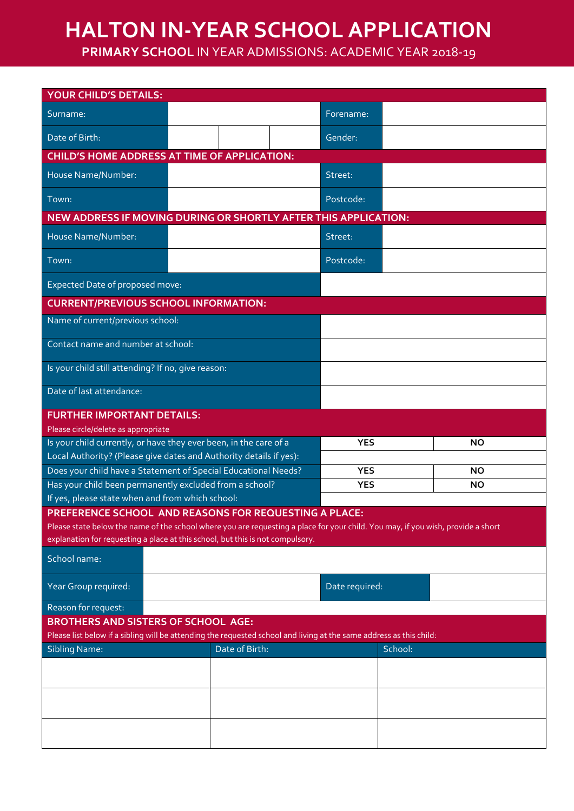## **HALTON IN-YEAR SCHOOL APPLICATION**

**PRIMARY SCHOOL** IN YEAR ADMISSIONS: ACADEMIC YEAR 2018-19

| <b>YOUR CHILD'S DETAILS:</b>                                                                                                                                                                                       |                                                                   |                |           |  |
|--------------------------------------------------------------------------------------------------------------------------------------------------------------------------------------------------------------------|-------------------------------------------------------------------|----------------|-----------|--|
| Surname:                                                                                                                                                                                                           |                                                                   | Forename:      |           |  |
| Date of Birth:                                                                                                                                                                                                     |                                                                   | Gender:        |           |  |
| <b>CHILD'S HOME ADDRESS AT TIME OF APPLICATION:</b>                                                                                                                                                                |                                                                   |                |           |  |
| House Name/Number:                                                                                                                                                                                                 |                                                                   |                | Street:   |  |
| Town:                                                                                                                                                                                                              |                                                                   | Postcode:      |           |  |
| <b>NEW ADDRESS IF MOVING DURING OR SHORTLY AFTER THIS APPLICATION:</b>                                                                                                                                             |                                                                   |                |           |  |
| House Name/Number:                                                                                                                                                                                                 |                                                                   |                | Street:   |  |
| Town:                                                                                                                                                                                                              |                                                                   |                | Postcode: |  |
| Expected Date of proposed move:                                                                                                                                                                                    |                                                                   |                |           |  |
| <b>CURRENT/PREVIOUS SCHOOL INFORMATION:</b>                                                                                                                                                                        |                                                                   |                |           |  |
| Name of current/previous school:                                                                                                                                                                                   |                                                                   |                |           |  |
| Contact name and number at school:                                                                                                                                                                                 |                                                                   |                |           |  |
| Is your child still attending? If no, give reason:                                                                                                                                                                 |                                                                   |                |           |  |
| Date of last attendance:                                                                                                                                                                                           |                                                                   |                |           |  |
| <b>FURTHER IMPORTANT DETAILS:</b>                                                                                                                                                                                  |                                                                   |                |           |  |
| Please circle/delete as appropriate                                                                                                                                                                                |                                                                   |                |           |  |
|                                                                                                                                                                                                                    | Is your child currently, or have they ever been, in the care of a |                | <b>NO</b> |  |
| Local Authority? (Please give dates and Authority details if yes):                                                                                                                                                 |                                                                   |                |           |  |
| Does your child have a Statement of Special Educational Needs?                                                                                                                                                     |                                                                   | <b>YES</b>     | <b>NO</b> |  |
| Has your child been permanently excluded from a school?                                                                                                                                                            |                                                                   | <b>YES</b>     | <b>NO</b> |  |
| If yes, please state when and from which school:                                                                                                                                                                   |                                                                   |                |           |  |
| PREFERENCE SCHOOL AND REASONS FOR REQUESTING A PLACE:                                                                                                                                                              |                                                                   |                |           |  |
| Please state below the name of the school where you are requesting a place for your child. You may, if you wish, provide a short<br>explanation for requesting a place at this school, but this is not compulsory. |                                                                   |                |           |  |
|                                                                                                                                                                                                                    |                                                                   |                |           |  |
| School name:                                                                                                                                                                                                       |                                                                   |                |           |  |
| Year Group required:                                                                                                                                                                                               |                                                                   | Date required: |           |  |
| Reason for request:                                                                                                                                                                                                |                                                                   |                |           |  |
| <b>BROTHERS AND SISTERS OF SCHOOL AGE:</b>                                                                                                                                                                         |                                                                   |                |           |  |
| Please list below if a sibling will be attending the requested school and living at the same address as this child:                                                                                                |                                                                   |                |           |  |
| <b>Sibling Name:</b>                                                                                                                                                                                               | Date of Birth:                                                    | School:        |           |  |
|                                                                                                                                                                                                                    |                                                                   |                |           |  |
|                                                                                                                                                                                                                    |                                                                   |                |           |  |
|                                                                                                                                                                                                                    |                                                                   |                |           |  |
|                                                                                                                                                                                                                    |                                                                   |                |           |  |
|                                                                                                                                                                                                                    |                                                                   |                |           |  |